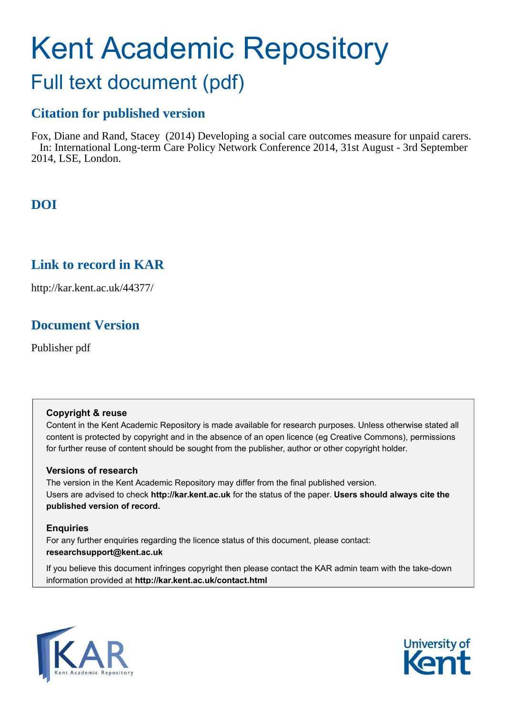# Kent Academic Repository

### Full text document (pdf)

#### **Citation for published version**

Fox, Diane and Rand, Stacey (2014) Developing a social care outcomes measure for unpaid carers. In: International Long-term Care Policy Network Conference 2014, 31st August - 3rd September 2014, LSE, London.

#### **DOI**

#### **Link to record in KAR**

http://kar.kent.ac.uk/44377/

#### **Document Version**

Publisher pdf

#### **Copyright & reuse**

Content in the Kent Academic Repository is made available for research purposes. Unless otherwise stated all content is protected by copyright and in the absence of an open licence (eg Creative Commons), permissions for further reuse of content should be sought from the publisher, author or other copyright holder.

#### **Versions of research**

The version in the Kent Academic Repository may differ from the final published version. Users are advised to check **http://kar.kent.ac.uk** for the status of the paper. **Users should always cite the published version of record.**

#### **Enquiries**

For any further enquiries regarding the licence status of this document, please contact: **researchsupport@kent.ac.uk**

If you believe this document infringes copyright then please contact the KAR admin team with the take-down information provided at **http://kar.kent.ac.uk/contact.html**



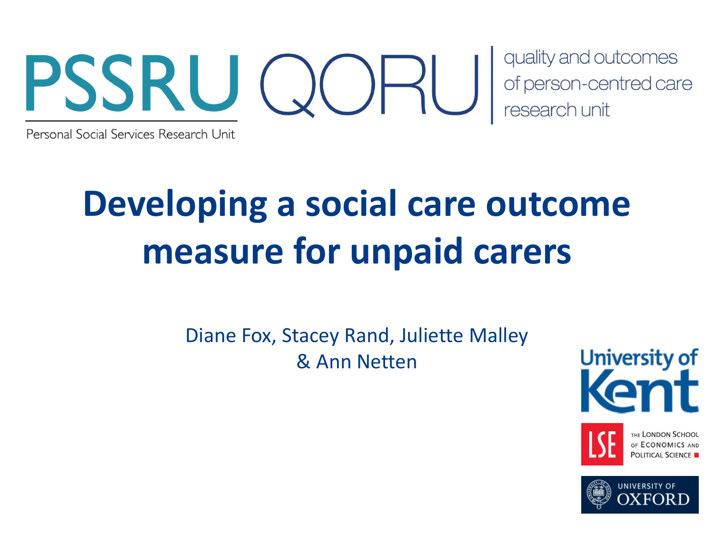

Personal Social Services Research Unit

## **Developing a social care outcome measure for unpaid carers**

Diane Fox, Stacey Rand, Juliette Malley & Ann Netten

University of



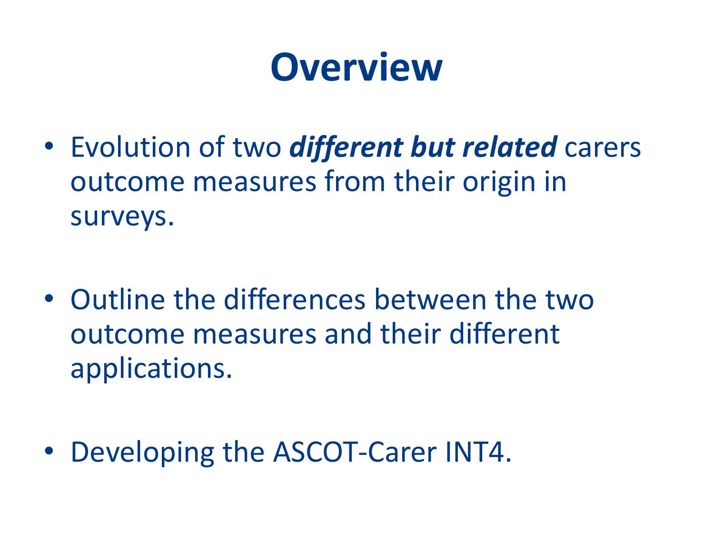## **Overview**

- Evolution of two *different but related* carers outcome measures from their origin in surveys.
- Outline the differences between the two outcome measures and their different applications.
- Developing the ASCOT-Carer INT4.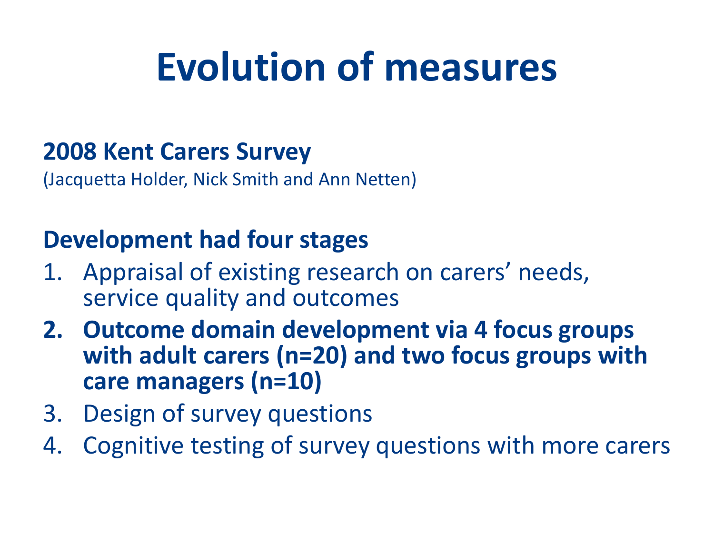### **2008 Kent Carers Survey**

(Jacquetta Holder, Nick Smith and Ann Netten)

### **Development had four stages**

- 1. Appraisal of existing research on carers' needs, service quality and outcomes
- **2. Outcome domain development via 4 focus groups with adult carers (n=20) and two focus groups with care managers (n=10)**
- 3. Design of survey questions
- 4. Cognitive testing of survey questions with more carers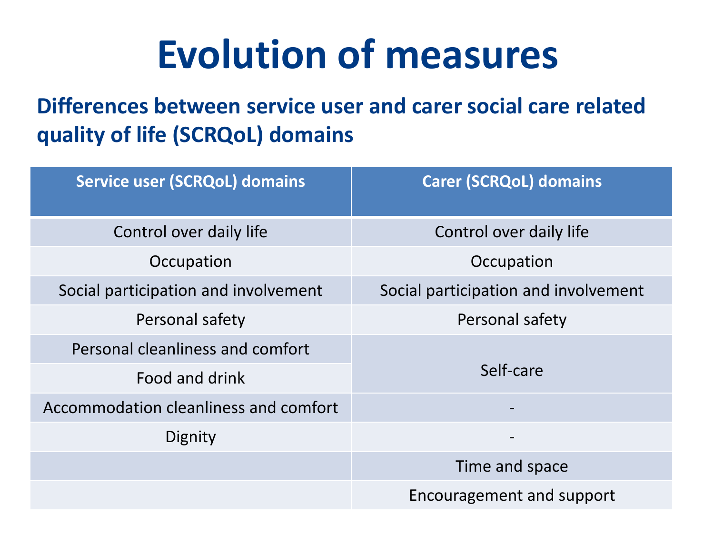**Differences between service user and carer social care related quality of life (SCRQoL) domains**

| <b>Service user (SCRQoL) domains</b>  | <b>Carer (SCRQoL) domains</b>        |
|---------------------------------------|--------------------------------------|
| Control over daily life               | Control over daily life              |
| Occupation                            | Occupation                           |
| Social participation and involvement  | Social participation and involvement |
| Personal safety                       | Personal safety                      |
| Personal cleanliness and comfort      | Self-care                            |
| Food and drink                        |                                      |
| Accommodation cleanliness and comfort |                                      |
| Dignity                               |                                      |
|                                       | Time and space                       |
|                                       | Encouragement and support            |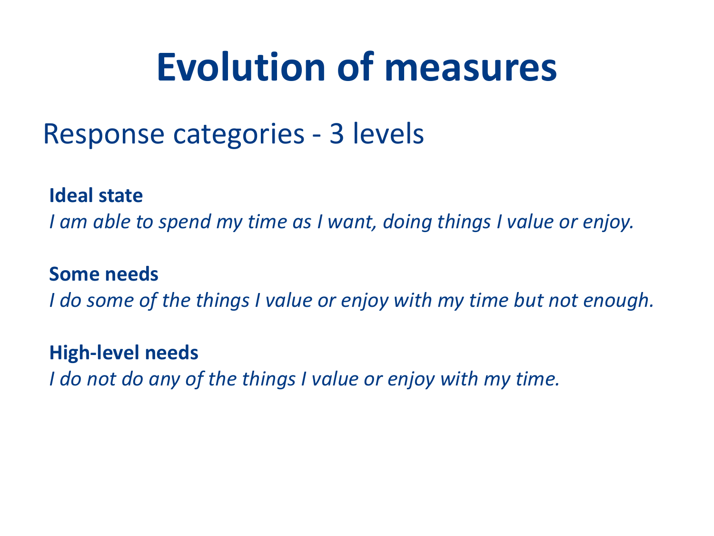### Response categories - 3 levels

**Ideal state**

*I am able to spend my time as I want, doing things I value or enjoy.*

#### **Some needs**

*I do some of the things I value or enjoy with my time but not enough.* 

#### **High-level needs**

*I do not do any of the things I value or enjoy with my time.*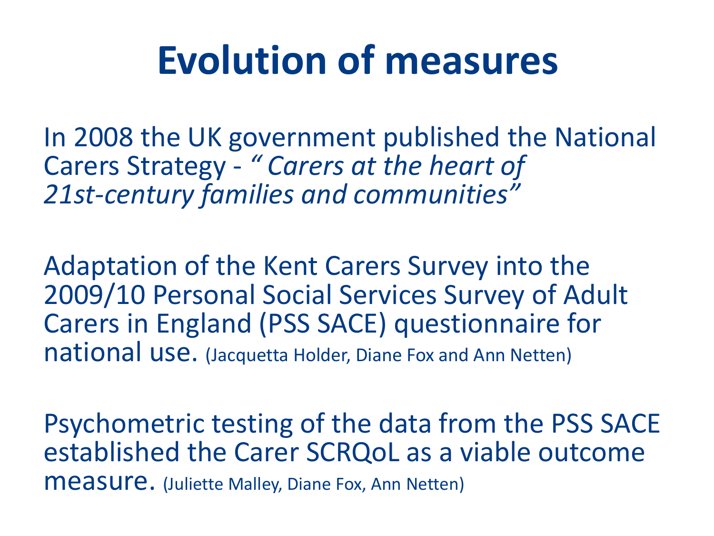In 2008 the UK government published the National Carers Strategy - " Carers at the heart of *21st-century families and communitiesざ*

Adaptation of the Kent Carers Survey into the 2009/10 Personal Social Services Survey of Adult Carers in England (PSS SACE) questionnaire for national use. (Jacquetta Holder, Diane Fox and Ann Netten)

Psychometric testing of the data from the PSS SACE established the Carer SCRQoL as a viable outcome measure. (Juliette Malley, Diane Fox, Ann Netten)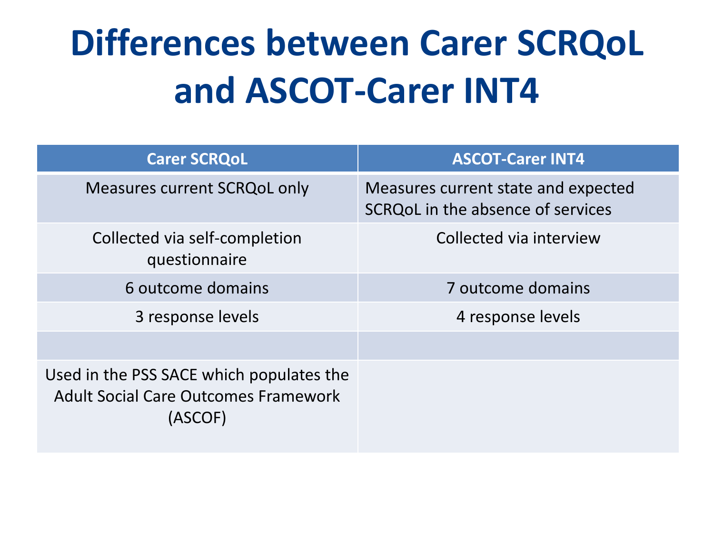## **Differences between Carer SCRQoL and ASCOT-Carer INT4**

| <b>Carer SCRQoL</b>                                                                                | <b>ASCOT-Carer INT4</b>                                                  |
|----------------------------------------------------------------------------------------------------|--------------------------------------------------------------------------|
| <b>Measures current SCRQoL only</b>                                                                | Measures current state and expected<br>SCRQoL in the absence of services |
| Collected via self-completion<br>questionnaire                                                     | Collected via interview                                                  |
| 6 outcome domains                                                                                  | 7 outcome domains                                                        |
| 3 response levels                                                                                  | 4 response levels                                                        |
|                                                                                                    |                                                                          |
| Used in the PSS SACE which populates the<br><b>Adult Social Care Outcomes Framework</b><br>(ASCOF) |                                                                          |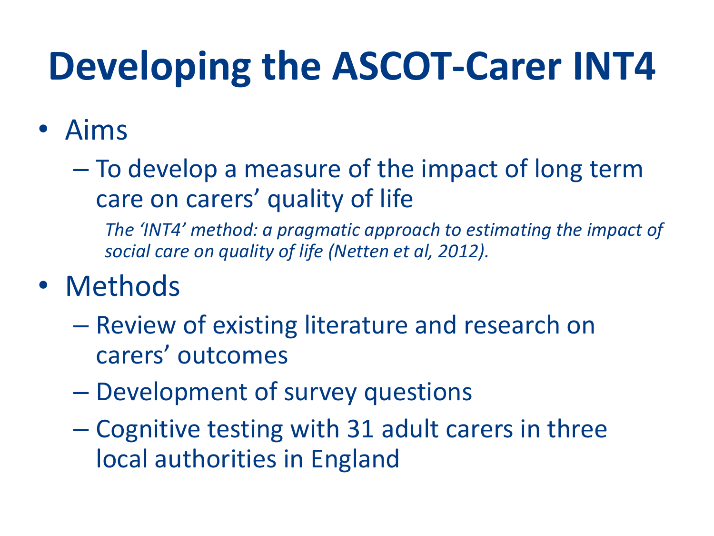## · Aims

- To develop a measure of the impact of long term care on carers' quality of life

The 'INT4' method: a pragmatic approach to estimating the impact of social care on quality of life (Netten et al, 2012).

- Methods
	- Review of existing literature and research on carers' outcomes
	- Development of survey questions
	- Cognitive testing with 31 adult carers in three local authorities in England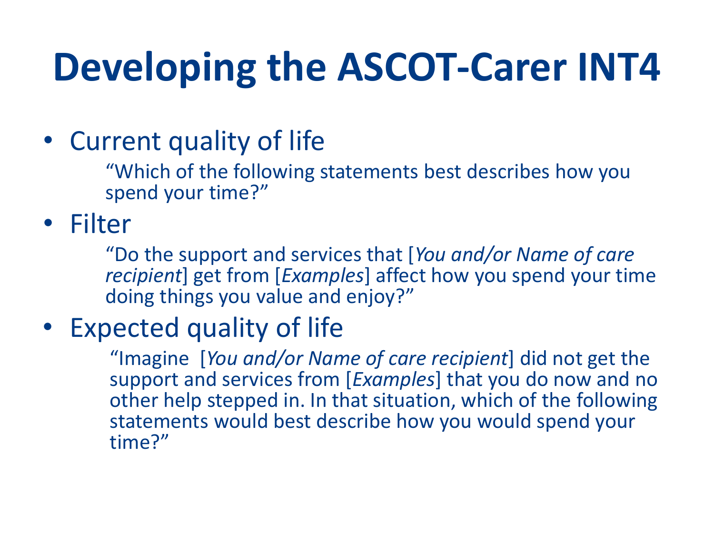• Current quality of life

"Which of the following statements best describes how you spend your time?"

### • Filter

"Do the support and services that [You and/or Name of care recipient] get from [Examples] affect how you spend your time doing things you value and enjoy?"

### • Expected quality of life

"Imagine [You and/or Name of care recipient] did not get the support and services from [Examples] that you do now and no other help stepped in. In that situation, which of the following statements would best describe how you would spend your time?"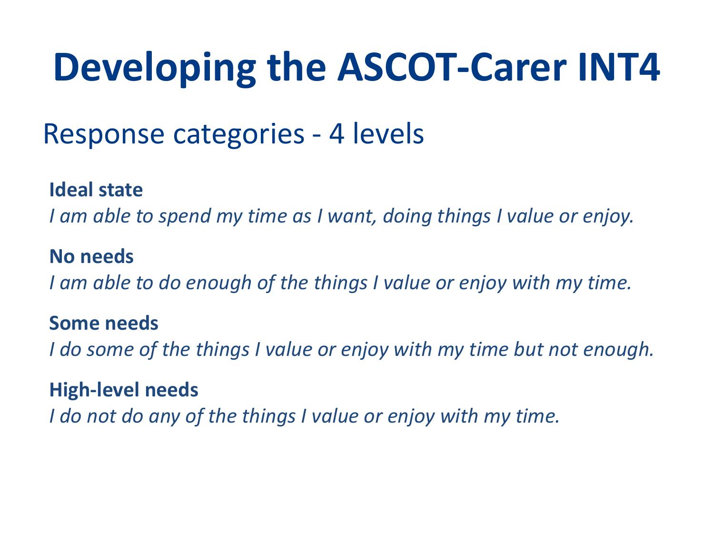## Response categories - 4 levels

#### **Ideal state**

*I am able to spend my time as I want, doing things I value or enjoy.*

#### **No needs**

*I am able to do enough of the things I value or enjoy with my time.* 

#### **Some needs**

*I do some of the things I value or enjoy with my time but not enough.* 

#### **High-level needs**

*I do not do any of the things I value or enjoy with my time.*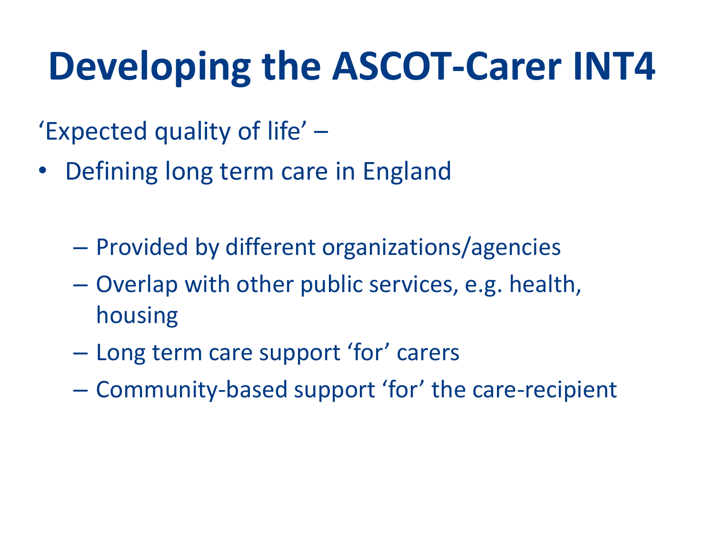- 'Expected quality of life' -
- Defining long term care in England
	- Provided by different organizations/agencies
	- Overlap with other public services, e.g. health, housing
	- Long term care support 'for' carers
	- Community-based support 'for' the care-recipient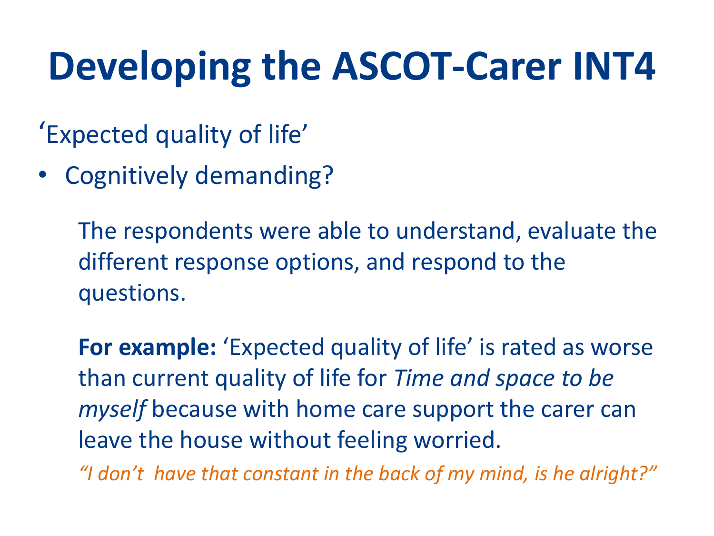- 'Expected quality of life'
- **Cognitively demanding?**

The respondents were able to understand, evaluate the different response options, and respond to the questions.

For example: 'Expected quality of life' is rated as worse than current quality of life for Time and space to be *myself* because with home care support the carer can leave the house without feeling worried.

"I don't have that constant in the back of my mind, is he alright?"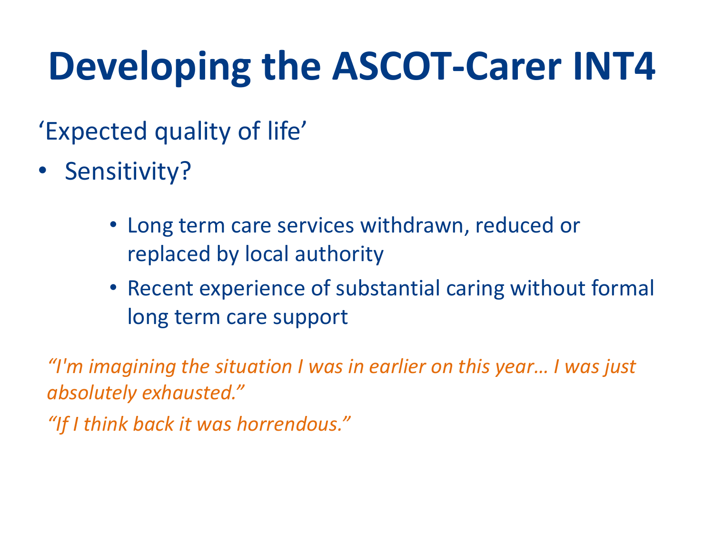'Expected quality of life'

- Sensitivity?
	- Long term care services withdrawn, reduced or replaced by local authority
	- Recent experience of substantial caring without formal long term care support

"I'm imagining the situation I was in earlier on this year... I was just absolutely exhausted."

"If I think back it was horrendous."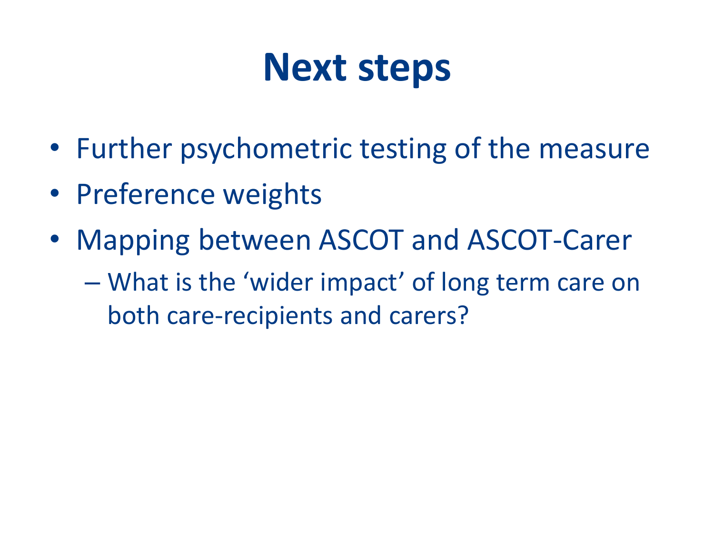## **Next steps**

- Further psychometric testing of the measure
- Preference weights
- Mapping between ASCOT and ASCOT-Carer
	- What is the 'wider impact' of long term care on both care-recipients and carers?